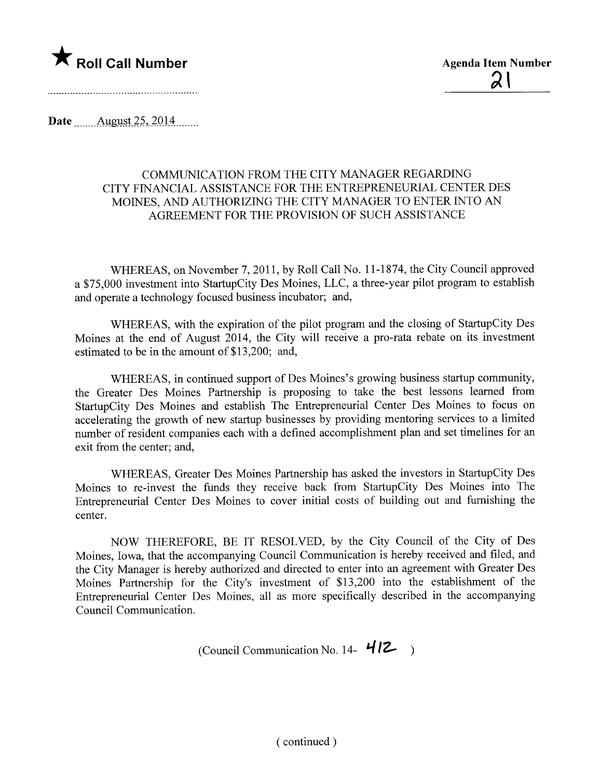

Date  $\qquad$  August 25, 2014

## COMMUNICATION FROM THE CITY MANAGER REGARDING CITY FINANCIAL ASSISTANCE FOR THE ENTREPRENEURIAL CENTER DES MOINES, AND AUTHORIZING THE CITY MANAGER TO ENTER INTO AN AGREEMENT FOR THE PROVISION OF SUCH ASSISTANCE

WHEREAS, on November 7, 2011, by Roll Call No.1 1-1874, the City Council approved a \$75,000 investment into StartupCity Des Moines, LLC, a three-year pilot program to establish and operate a technology focused business incubator; and,

WHEREAS, with the expiration of the pilot program and the closing of StarupCity Des Moines at the end of August 2014, the City will receive a pro-rata rebate on its investment estimated to be in the amount of \$13,200; and,

WHEREAS, in continued support of Des Moines's growing business startup community, the Greater Des Moines Partnership is proposing to take the best lessons learned from StarupCity Des Moines and establish The Entrepreneurial Center Des Moines to focus on accelerating the growth of new startup businesses by providing mentoring services to a limited number of resident companies each with a defined accomplishment plan and set timelines for an exit from the center; and,

WHEREAS, Greater Des Moines Partnership has asked the investors in StarupCity Des Moines to re-invest the funds they receive back from StarupCity Des Moines into The Entrepreneurial Center Des Moines to cover initial costs of building out and furnishing the center.

NOW THEREFORE, BE IT RESOLVED, by the City Council of the City of Des Moines, Iowa, that the accompanying Council Communication is hereby received and filed, and the City Manager is hereby authorized and directed to enter into an agreement with Greater Des Moines Partnership for the City's investment of \$13,200 into the establishment of the Entrepreneurial Center Des Moines, all as more specifically described in the accompanying Council Communication.

(Council Communication No. 14-  $412$ )